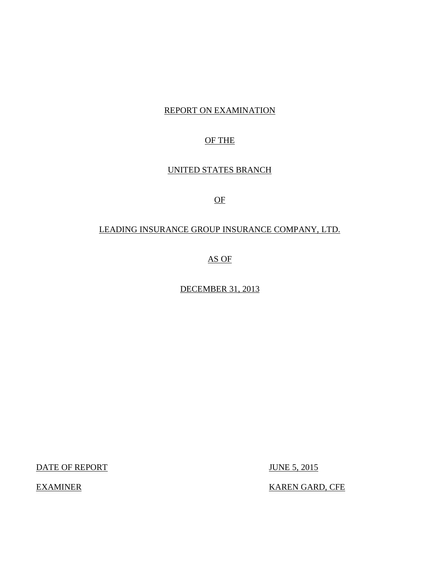## REPORT ON EXAMINATION

## OF THE

## UNITED STATES BRANCH

## OF

## LEADING INSURANCE GROUP INSURANCE COMPANY, LTD.

AS OF

DECEMBER 31, 2013

DATE OF REPORT JUNE 5, 2015

KAREN GARD, CFE

**EXAMINER**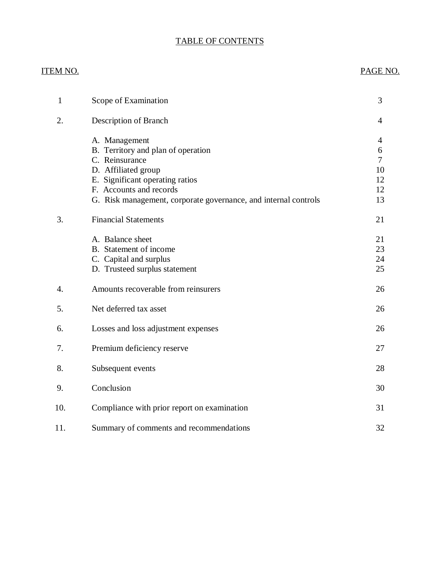### TABLE OF CONTENTS

| ITEM NO.         |                                                                                                                                                                                                                               | PAGE NO.                                                      |
|------------------|-------------------------------------------------------------------------------------------------------------------------------------------------------------------------------------------------------------------------------|---------------------------------------------------------------|
| $\mathbf{1}$     | Scope of Examination                                                                                                                                                                                                          | 3                                                             |
| 2.               | Description of Branch                                                                                                                                                                                                         | $\overline{4}$                                                |
|                  | A. Management<br>B. Territory and plan of operation<br>C. Reinsurance<br>D. Affiliated group<br>E. Significant operating ratios<br>F. Accounts and records<br>G. Risk management, corporate governance, and internal controls | $\overline{4}$<br>6<br>$\overline{7}$<br>10<br>12<br>12<br>13 |
| 3.               | <b>Financial Statements</b>                                                                                                                                                                                                   | 21                                                            |
|                  | A. Balance sheet<br>B. Statement of income<br>C. Capital and surplus<br>D. Trusteed surplus statement                                                                                                                         | 21<br>23<br>24<br>25                                          |
| $\overline{4}$ . | Amounts recoverable from reinsurers                                                                                                                                                                                           | 26                                                            |
| 5.               | Net deferred tax asset                                                                                                                                                                                                        | 26                                                            |
| 6.               | Losses and loss adjustment expenses                                                                                                                                                                                           | 26                                                            |
| 7.               | Premium deficiency reserve                                                                                                                                                                                                    | 27                                                            |
| 8.               | Subsequent events                                                                                                                                                                                                             | 28                                                            |
| 9.               | Conclusion                                                                                                                                                                                                                    | 30                                                            |
| 10.              | Compliance with prior report on examination                                                                                                                                                                                   | 31                                                            |
| 11.              | Summary of comments and recommendations                                                                                                                                                                                       | 32                                                            |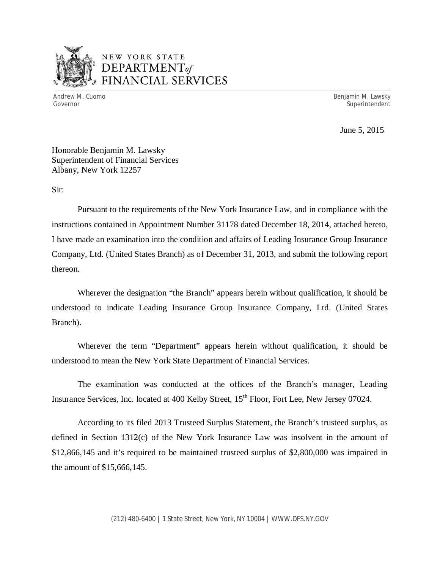

# NEW YORK STATE *DEPARTMENTof*  FINANCIAL SERVICES

Andrew M. Cuomo

Benjamin M. Lawsky Governor Superintendent Superintendent Superintendent Superintendent Superintendent Superintendent Superintendent

June 5, 2015

 Honorable Benjamin M. Lawsky Superintendent of Financial Services Albany, New York 12257

Sir:

 Pursuant to the requirements of the New York Insurance Law, and in compliance with the instructions contained in Appointment Number 31178 dated December 18, 2014, attached hereto, I have made an examination into the condition and affairs of Leading Insurance Group Insurance Company, Ltd. (United States Branch) as of December 31, 2013, and submit the following report thereon.

 Wherever the designation "the Branch" appears herein without qualification, it should be understood to indicate Leading Insurance Group Insurance Company, Ltd. (United States Branch).

 Wherever the term "Department" appears herein without qualification, it should be understood to mean the New York State Department of Financial Services.

Insurance Services, Inc. located at 400 Kelby Street, 15<sup>th</sup> Floor, Fort Lee, New Jersey 07024. The examination was conducted at the offices of the Branch's manager, Leading

 According to its filed 2013 Trusteed Surplus Statement, the Branch's trusteed surplus, as defined in Section 1312(c) of the New York Insurance Law was insolvent in the amount of \$12,866,145 and it's required to be maintained trusteed surplus of \$2,800,000 was impaired in the amount of \$15,666,145.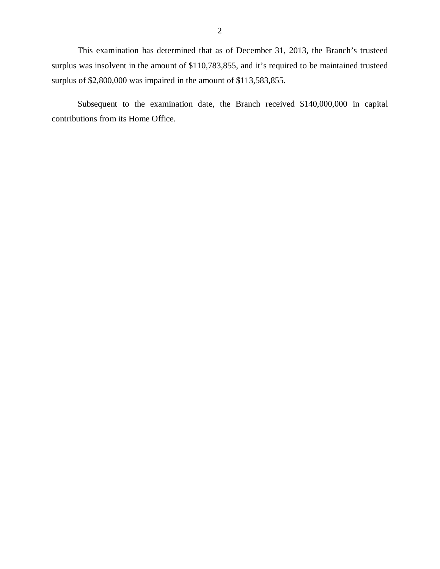This examination has determined that as of December 31, 2013, the Branch's trusteed surplus was insolvent in the amount of \$110,783,855, and it's required to be maintained trusteed surplus of \$2,800,000 was impaired in the amount of \$113,583,855.

 Subsequent to the examination date, the Branch received \$140,000,000 in capital contributions from its Home Office.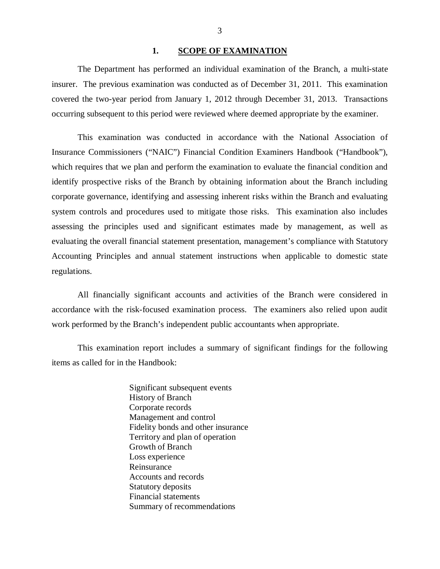#### **1. SCOPE OF EXAMINATION**

<span id="page-4-0"></span> insurer. The previous examination was conducted as of December 31, 2011. This examination covered the two-year period from January 1, 2012 through December 31, 2013. Transactions occurring subsequent to this period were reviewed where deemed appropriate by the examiner. The Department has performed an individual examination of the Branch, a multi-state

 Insurance Commissioners ("NAIC") Financial Condition Examiners Handbook ("Handbook"), which requires that we plan and perform the examination to evaluate the financial condition and identify prospective risks of the Branch by obtaining information about the Branch including corporate governance, identifying and assessing inherent risks within the Branch and evaluating system controls and procedures used to mitigate those risks. This examination also includes assessing the principles used and significant estimates made by management, as well as evaluating the overall financial statement presentation, management's compliance with Statutory Accounting Principles and annual statement instructions when applicable to domestic state regulations. This examination was conducted in accordance with the National Association of

 accordance with the risk-focused examination process. The examiners also relied upon audit work performed by the Branch's independent public accountants when appropriate. All financially significant accounts and activities of the Branch were considered in

 items as called for in the Handbook: This examination report includes a summary of significant findings for the following

> Significant subsequent events History of Branch Corporate records Management and control Fidelity bonds and other insurance Territory and plan of operation Growth of Branch Loss experience Reinsurance Reinsurance Accounts and records Statutory deposits Financial statements Summary of recommendations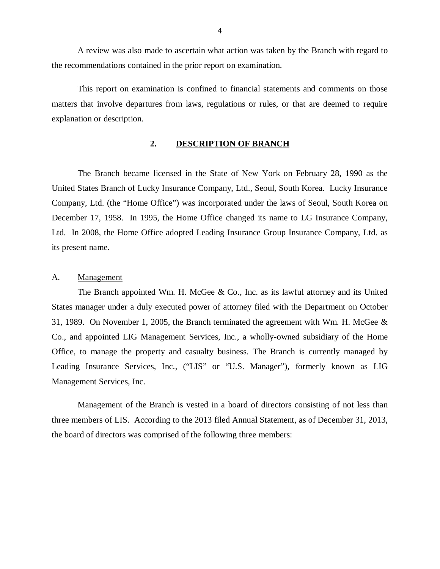<span id="page-5-0"></span> the recommendations contained in the prior report on examination. A review was also made to ascertain what action was taken by the Branch with regard to

 matters that involve departures from laws, regulations or rules, or that are deemed to require explanation or description. This report on examination is confined to financial statements and comments on those

#### **2. DESCRIPTION OF BRANCH**

 United States Branch of Lucky Insurance Company, Ltd., Seoul, South Korea. Lucky Insurance Company, Ltd. (the "Home Office") was incorporated under the laws of Seoul, South Korea on December 17, 1958. In 1995, the Home Office changed its name to LG Insurance Company, Ltd. In 2008, the Home Office adopted Leading Insurance Group Insurance Company, Ltd. as its present name. The Branch became licensed in the State of New York on February 28, 1990 as the

#### A. Management

 States manager under a duly executed power of attorney filed with the Department on October 31, 1989. On November 1, 2005, the Branch terminated the agreement with Wm. H. McGee & Co., and appointed LIG Management Services, Inc., a wholly-owned subsidiary of the Home Office, to manage the property and casualty business. The Branch is currently managed by Leading Insurance Services, Inc., ("LIS" or "U.S. Manager"), formerly known as LIG Management Services, Inc. The Branch appointed Wm. H. McGee & Co., Inc. as its lawful attorney and its United

 Management of the Branch is vested in a board of directors consisting of not less than three members of LIS. According to the 2013 filed Annual Statement, as of December 31, 2013, the board of directors was comprised of the following three members: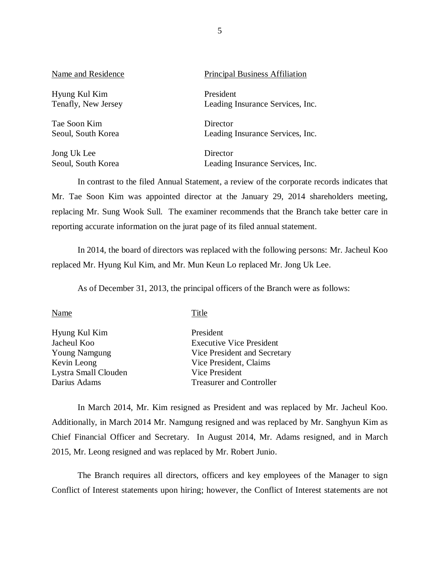| Name and Residence  | <b>Principal Business Affiliation</b> |
|---------------------|---------------------------------------|
| Hyung Kul Kim       | President                             |
| Tenafly, New Jersey | Leading Insurance Services, Inc.      |
| Tae Soon Kim        | Director                              |
| Seoul, South Korea  | Leading Insurance Services, Inc.      |

Seoul. South Korea Jong Uk Lee Director

Leading Insurance Services, Inc.

 In contrast to the filed Annual Statement, a review of the corporate records indicates that Mr. Tae Soon Kim was appointed director at the January 29, 2014 shareholders meeting, replacing Mr. Sung Wook Sull. The examiner recommends that the Branch take better care in reporting accurate information on the jurat page of its filed annual statement.

 In 2014, the board of directors was replaced with the following persons: Mr. Jacheul Koo replaced Mr. Hyung Kul Kim, and Mr. Mun Keun Lo replaced Mr. Jong Uk Lee.

As of December 31, 2013, the principal officers of the Branch were as follows:

| Name                 | Title                           |
|----------------------|---------------------------------|
| Hyung Kul Kim        | President                       |
| Jacheul Koo          | <b>Executive Vice President</b> |
| <b>Young Namgung</b> | Vice President and Secretary    |
| Kevin Leong          | Vice President, Claims          |
| Lystra Small Clouden | Vice President                  |
| Darius Adams         | <b>Treasurer and Controller</b> |

 Additionally, in March 2014 Mr. Namgung resigned and was replaced by Mr. Sanghyun Kim as Chief Financial Officer and Secretary. In August 2014, Mr. Adams resigned, and in March 2015, Mr. Leong resigned and was replaced by Mr. Robert Junio. In March 2014, Mr. Kim resigned as President and was replaced by Mr. Jacheul Koo.

 Conflict of Interest statements upon hiring; however, the Conflict of Interest statements are not The Branch requires all directors, officers and key employees of the Manager to sign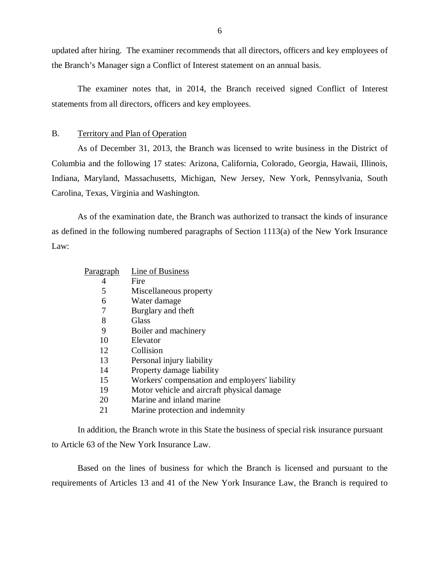<span id="page-7-0"></span> updated after hiring. The examiner recommends that all directors, officers and key employees of the Branch's Manager sign a Conflict of Interest statement on an annual basis.

 The examiner notes that, in 2014, the Branch received signed Conflict of Interest statements from all directors, officers and key employees.

### B. Territory and Plan of Operation

 Columbia and the following 17 states: Arizona, California, Colorado, Georgia, Hawaii, Illinois, Indiana, Maryland, Massachusetts, Michigan, New Jersey, New York, Pennsylvania, South Carolina, Texas, Virginia and Washington. As of December 31, 2013, the Branch was licensed to write business in the District of

 as defined in the following numbered paragraphs of Section 1113(a) of the New York Insurance As of the examination date, the Branch was authorized to transact the kinds of insurance Law:

| P <u>aragraph</u> | Line of Business                               |
|-------------------|------------------------------------------------|
| 4                 | Fire                                           |
| 5                 | Miscellaneous property                         |
| 6                 | Water damage                                   |
| 7                 | Burglary and theft                             |
| 8                 | Glass                                          |
| 9                 | Boiler and machinery                           |
| 10                | Elevator                                       |
| 12                | Collision                                      |
| 13                | Personal injury liability                      |
| 14                | Property damage liability                      |
| 15                | Workers' compensation and employers' liability |
| 19                | Motor vehicle and aircraft physical damage     |
| 20                | Marine and inland marine                       |
| 21                | Marine protection and indemnity                |

 In addition, the Branch wrote in this State the business of special risk insurance pursuant to Article 63 of the New York Insurance Law.

 Based on the lines of business for which the Branch is licensed and pursuant to the requirements of Articles 13 and 41 of the New York Insurance Law, the Branch is required to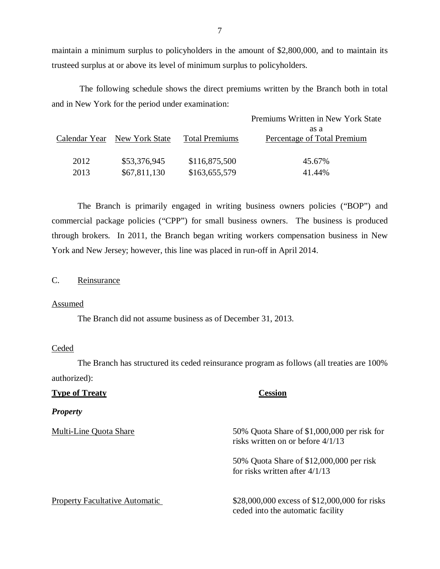maintain a minimum surplus to policyholders in the amount of \$2,800,000, and to maintain its trusteed surplus at or above its level of minimum surplus to policyholders.

 and in New York for the period under examination: The following schedule shows the direct premiums written by the Branch both in total

|      |                              |                       | Premiums Written in New York State |
|------|------------------------------|-----------------------|------------------------------------|
|      |                              |                       | as a                               |
|      | Calendar Year New York State | <b>Total Premiums</b> | Percentage of Total Premium        |
|      |                              |                       |                                    |
| 2012 | \$53,376,945                 | \$116,875,500         | 45.67%                             |
| 2013 | \$67,811,130                 | \$163,655,579         | 41.44%                             |

 commercial package policies ("CPP") for small business owners. The business is produced through brokers. In 2011, the Branch began writing workers compensation business in New York and New Jersey; however, this line was placed in run-off in April 2014. The Branch is primarily engaged in writing business owners policies ("BOP") and

### C. Reinsurance

#### Assumed

The Branch did not assume business as of December 31, 2013.

#### Ceded

 The Branch has structured its ceded reinsurance program as follows (all treaties are 100% authorized):

| <b>Type of Treaty</b>                 | <b>Cession</b>                                                                     |
|---------------------------------------|------------------------------------------------------------------------------------|
| <b>Property</b>                       |                                                                                    |
| <b>Multi-Line Quota Share</b>         | 50% Quota Share of \$1,000,000 per risk for<br>risks written on or before $4/1/13$ |
|                                       | 50% Quota Share of \$12,000,000 per risk<br>for risks written after $4/1/13$       |
| <b>Property Facultative Automatic</b> | \$28,000,000 excess of \$12,000,000 for risks<br>ceded into the automatic facility |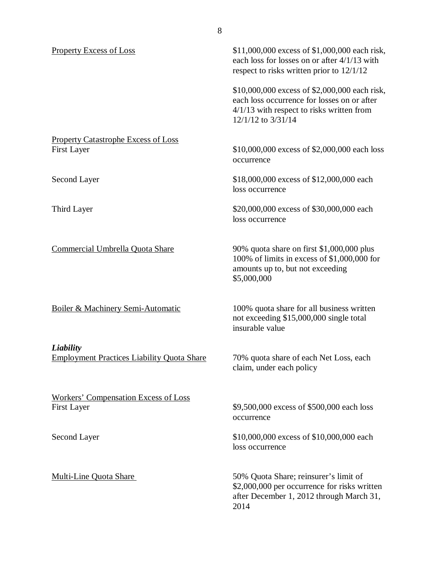| <b>Property Excess of Loss</b>                                    | \$11,000,000 excess of \$1,000,000 each risk,<br>each loss for losses on or after 4/1/13 with<br>respect to risks written prior to $12/1/12$                      |
|-------------------------------------------------------------------|-------------------------------------------------------------------------------------------------------------------------------------------------------------------|
|                                                                   | \$10,000,000 excess of \$2,000,000 each risk,<br>each loss occurrence for losses on or after<br>$4/1/13$ with respect to risks written from<br>12/1/12 to 3/31/14 |
| <b>Property Catastrophe Excess of Loss</b><br>First Layer         | \$10,000,000 excess of \$2,000,000 each loss<br>occurrence                                                                                                        |
| <b>Second Layer</b>                                               | \$18,000,000 excess of \$12,000,000 each<br>loss occurrence                                                                                                       |
| <b>Third Layer</b>                                                | \$20,000,000 excess of \$30,000,000 each<br>loss occurrence                                                                                                       |
| <b>Commercial Umbrella Quota Share</b>                            | 90% quota share on first \$1,000,000 plus<br>100% of limits in excess of $$1,000,000$ for<br>amounts up to, but not exceeding<br>\$5,000,000                      |
| Boiler & Machinery Semi-Automatic                                 | 100% quota share for all business written<br>not exceeding \$15,000,000 single total<br>insurable value                                                           |
| Liability<br><b>Employment Practices Liability Quota Share</b>    | 70% quota share of each Net Loss, each<br>claim, under each policy                                                                                                |
| <b>Workers' Compensation Excess of Loss</b><br><b>First Layer</b> | \$9,500,000 excess of \$500,000 each loss<br>occurrence                                                                                                           |
| <b>Second Layer</b>                                               | \$10,000,000 excess of \$10,000,000 each<br>loss occurrence                                                                                                       |
| <b>Multi-Line Quota Share</b>                                     | 50% Quota Share; reinsurer's limit of<br>\$2,000,000 per occurrence for risks written<br>after December 1, 2012 through March 31,<br>2014                         |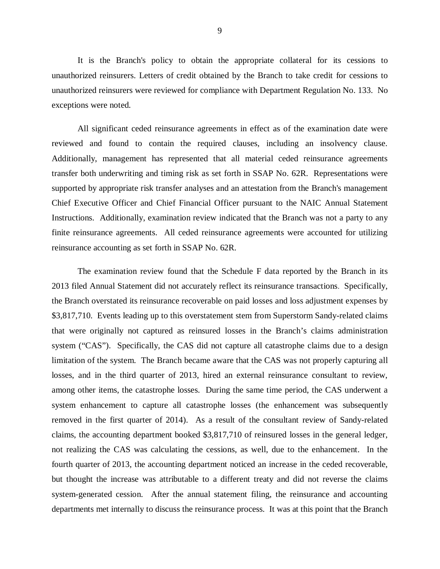It is the Branch's policy to obtain the appropriate collateral for its cessions to unauthorized reinsurers. Letters of credit obtained by the Branch to take credit for cessions to unauthorized reinsurers were reviewed for compliance with Department Regulation No. 133. No exceptions were noted.

 All significant ceded reinsurance agreements in effect as of the examination date were reviewed and found to contain the required clauses, including an insolvency clause. Additionally, management has represented that all material ceded reinsurance agreements transfer both underwriting and timing risk as set forth in SSAP No. 62R. Representations were supported by appropriate risk transfer analyses and an attestation from the Branch's management Chief Executive Officer and Chief Financial Officer pursuant to the NAIC Annual Statement Instructions. Additionally, examination review indicated that the Branch was not a party to any finite reinsurance agreements. All ceded reinsurance agreements were accounted for utilizing reinsurance accounting as set forth in SSAP No. 62R.

 The examination review found that the Schedule F data reported by the Branch in its 2013 filed Annual Statement did not accurately reflect its reinsurance transactions. Specifically, the Branch overstated its reinsurance recoverable on paid losses and loss adjustment expenses by \$3,817,710. Events leading up to this overstatement stem from Superstorm Sandy-related claims that were originally not captured as reinsured losses in the Branch's claims administration system ("CAS"). Specifically, the CAS did not capture all catastrophe claims due to a design limitation of the system. The Branch became aware that the CAS was not properly capturing all losses, and in the third quarter of 2013, hired an external reinsurance consultant to review, among other items, the catastrophe losses. During the same time period, the CAS underwent a system enhancement to capture all catastrophe losses (the enhancement was subsequently removed in the first quarter of 2014). As a result of the consultant review of Sandy-related claims, the accounting department booked \$3,817,710 of reinsured losses in the general ledger, not realizing the CAS was calculating the cessions, as well, due to the enhancement. In the fourth quarter of 2013, the accounting department noticed an increase in the ceded recoverable, but thought the increase was attributable to a different treaty and did not reverse the claims system-generated cession. After the annual statement filing, the reinsurance and accounting departments met internally to discuss the reinsurance process. It was at this point that the Branch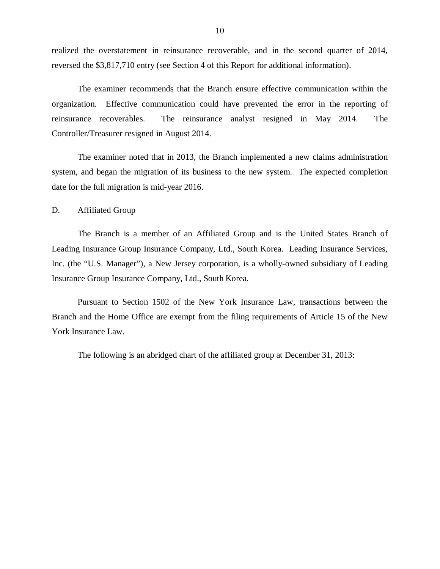<span id="page-11-0"></span> realized the overstatement in reinsurance recoverable, and in the second quarter of 2014, reversed the \$3,817,710 entry (see Section 4 of this Report for additional information).

 The examiner recommends that the Branch ensure effective communication within the organization. Effective communication could have prevented the error in the reporting of reinsurance recoverables. Controller/Treasurer resigned in August 2014. The reinsurance analyst resigned in May 2014. The

 The examiner noted that in 2013, the Branch implemented a new claims administration system, and began the migration of its business to the new system. The expected completion date for the full migration is mid-year 2016.

#### D. Affiliated Group

 Leading Insurance Group Insurance Company, Ltd., South Korea. Leading Insurance Services, Inc. (the "U.S. Manager"), a New Jersey corporation, is a wholly-owned subsidiary of Leading Insurance Group Insurance Company, Ltd., South Korea. The Branch is a member of an Affiliated Group and is the United States Branch of

 Pursuant to Section 1502 of the New York Insurance Law, transactions between the Branch and the Home Office are exempt from the filing requirements of Article 15 of the New York Insurance Law.

The following is an abridged chart of the affiliated group at December 31, 2013: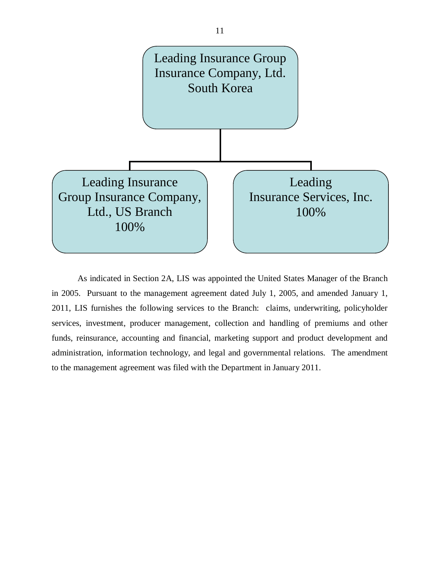

 in 2005. Pursuant to the management agreement dated July 1, 2005, and amended January 1, 2011, LIS furnishes the following services to the Branch: claims, underwriting, policyholder services, investment, producer management, collection and handling of premiums and other funds, reinsurance, accounting and financial, marketing support and product development and administration, information technology, and legal and governmental relations. The amendment to the management agreement was filed with the Department in January 2011. As indicated in Section 2A, LIS was appointed the United States Manager of the Branch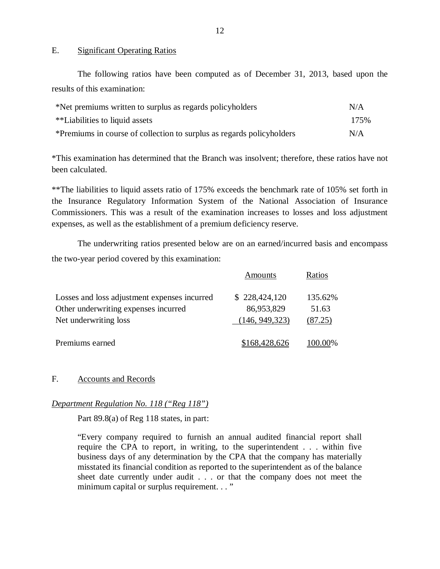#### <span id="page-13-0"></span>E. Significant Operating Ratios

 results of this examination: The following ratios have been computed as of December 31, 2013, based upon the

| *Net premiums written to surplus as regards policyholders             | N/A  |
|-----------------------------------------------------------------------|------|
| **Liabilities to liquid assets                                        | 175% |
| *Premiums in course of collection to surplus as regards policyholders | N/A  |

 \*This examination has determined that the Branch was insolvent; therefore, these ratios have not been calculated.

 \*\*The liabilities to liquid assets ratio of 175% exceeds the benchmark rate of 105% set forth in the Insurance Regulatory Information System of the National Association of Insurance Commissioners. This was a result of the examination increases to losses and loss adjustment expenses, as well as the establishment of a premium deficiency reserve.

 the two-year period covered by this examination: The underwriting ratios presented below are on an earned/incurred basis and encompass

|                                              | Amounts         | Ratios          |
|----------------------------------------------|-----------------|-----------------|
| Losses and loss adjustment expenses incurred | \$228,424,120   | 135.62%         |
| Other underwriting expenses incurred         | 86,953,829      | 51.63           |
| Net underwriting loss                        | (146, 949, 323) | (87.25)         |
|                                              |                 |                 |
| Premiums earned                              | \$168,428,626   | <u>100.00</u> % |

#### F. Accounts and Records

#### *Department Regulation No. 118 ("Reg 118")*

Part 89.8(a) of Reg 118 states, in part:

 "Every company required to furnish an annual audited financial report shall require the CPA to report, in writing, to the superintendent . . . within five business days of any determination by the CPA that the company has materially misstated its financial condition as reported to the superintendent as of the balance sheet date currently under audit . . . or that the company does not meet the minimum capital or surplus requirement. . . "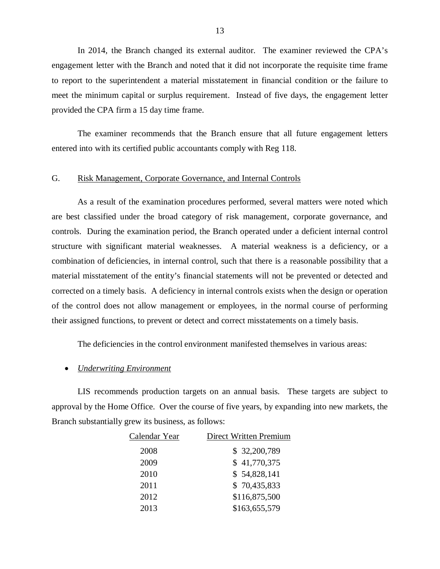In 2014, the Branch changed its external auditor. The examiner reviewed the CPA's engagement letter with the Branch and noted that it did not incorporate the requisite time frame to report to the superintendent a material misstatement in financial condition or the failure to meet the minimum capital or surplus requirement. Instead of five days, the engagement letter provided the CPA firm a 15 day time frame.

 entered into with its certified public accountants comply with Reg 118. The examiner recommends that the Branch ensure that all future engagement letters

#### G. Risk Management, Corporate Governance, and Internal Controls

 are best classified under the broad category of risk management, corporate governance, and controls. During the examination period, the Branch operated under a deficient internal control structure with significant material weaknesses. A material weakness is a deficiency, or a combination of deficiencies, in internal control, such that there is a reasonable possibility that a material misstatement of the entity's financial statements will not be prevented or detected and corrected on a timely basis. A deficiency in internal controls exists when the design or operation of the control does not allow management or employees, in the normal course of performing their assigned functions, to prevent or detect and correct misstatements on a timely basis. As a result of the examination procedures performed, several matters were noted which

The deficiencies in the control environment manifested themselves in various areas:

#### *Underwriting Environment*

 approval by the Home Office. Over the course of five years, by expanding into new markets, the Branch substantially grew its business, as follows: LIS recommends production targets on an annual basis. These targets are subject to

| \$32,200,789<br>2008<br>\$41,770,375<br>2009<br>\$54,828,141<br>2010<br>\$70,435,833<br>2011<br>\$116,875,500<br>2012<br>\$163,655,579<br>2013 | Calendar Year | <b>Direct Written Premium</b> |
|------------------------------------------------------------------------------------------------------------------------------------------------|---------------|-------------------------------|
|                                                                                                                                                |               |                               |
|                                                                                                                                                |               |                               |
|                                                                                                                                                |               |                               |
|                                                                                                                                                |               |                               |
|                                                                                                                                                |               |                               |
|                                                                                                                                                |               |                               |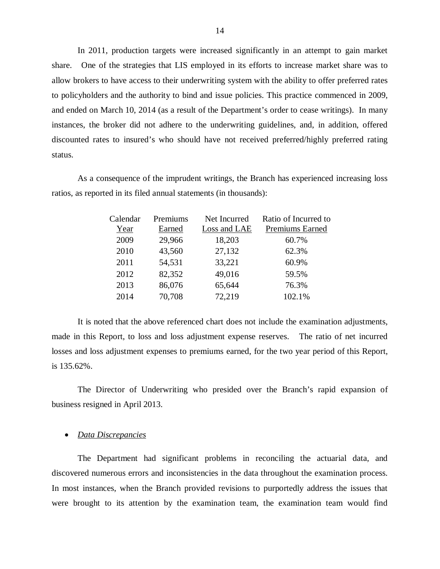In 2011, production targets were increased significantly in an attempt to gain market share. One of the strategies that LIS employed in its efforts to increase market share was to allow brokers to have access to their underwriting system with the ability to offer preferred rates to policyholders and the authority to bind and issue policies. This practice commenced in 2009, and ended on March 10, 2014 (as a result of the Department's order to cease writings). In many instances, the broker did not adhere to the underwriting guidelines, and, in addition, offered discounted rates to insured's who should have not received preferred/highly preferred rating status.

 ratios, as reported in its filed annual statements (in thousands): As a consequence of the imprudent writings, the Branch has experienced increasing loss

| Calendar | Premiums | Net Incurred | Ratio of Incurred to   |
|----------|----------|--------------|------------------------|
| Year     | Earned   | Loss and LAE | <b>Premiums Earned</b> |
| 2009     | 29,966   | 18,203       | 60.7%                  |
| 2010     | 43,560   | 27,132       | 62.3%                  |
| 2011     | 54,531   | 33,221       | 60.9%                  |
| 2012     | 82,352   | 49,016       | 59.5%                  |
| 2013     | 86,076   | 65,644       | 76.3%                  |
| 2014     | 70,708   | 72,219       | 102.1%                 |

 It is noted that the above referenced chart does not include the examination adjustments, made in this Report, to loss and loss adjustment expense reserves. The ratio of net incurred losses and loss adjustment expenses to premiums earned, for the two year period of this Report, is 135.62%.

 The Director of Underwriting who presided over the Branch's rapid expansion of business resigned in April 2013.

#### *Data Discrepancies*

 The Department had significant problems in reconciling the actuarial data, and discovered numerous errors and inconsistencies in the data throughout the examination process. In most instances, when the Branch provided revisions to purportedly address the issues that were brought to its attention by the examination team, the examination team would find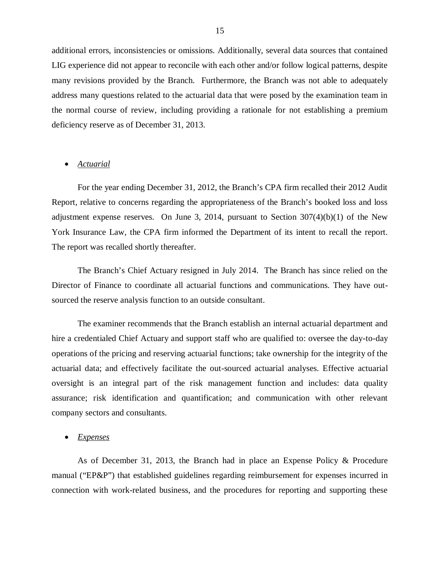additional errors, inconsistencies or omissions. Additionally, several data sources that contained LIG experience did not appear to reconcile with each other and/or follow logical patterns, despite many revisions provided by the Branch. Furthermore, the Branch was not able to adequately address many questions related to the actuarial data that were posed by the examination team in the normal course of review, including providing a rationale for not establishing a premium deficiency reserve as of December 31, 2013.

#### *Actuarial*

 For the year ending December 31, 2012, the Branch's CPA firm recalled their 2012 Audit Report, relative to concerns regarding the appropriateness of the Branch's booked loss and loss adjustment expense reserves. On June 3, 2014, pursuant to Section 307(4)(b)(1) of the New York Insurance Law, the CPA firm informed the Department of its intent to recall the report. The report was recalled shortly thereafter.

 The Branch's Chief Actuary resigned in July 2014. The Branch has since relied on the Director of Finance to coordinate all actuarial functions and communications. They have out-sourced the reserve analysis function to an outside consultant.

 The examiner recommends that the Branch establish an internal actuarial department and hire a credentialed Chief Actuary and support staff who are qualified to: oversee the day-to-day operations of the pricing and reserving actuarial functions; take ownership for the integrity of the actuarial data; and effectively facilitate the out-sourced actuarial analyses. Effective actuarial oversight is an integral part of the risk management function and includes: data quality assurance; risk identification and quantification; and communication with other relevant company sectors and consultants.

#### *Expenses*

 As of December 31, 2013, the Branch had in place an Expense Policy & Procedure manual ("EP&P") that established guidelines regarding reimbursement for expenses incurred in connection with work-related business, and the procedures for reporting and supporting these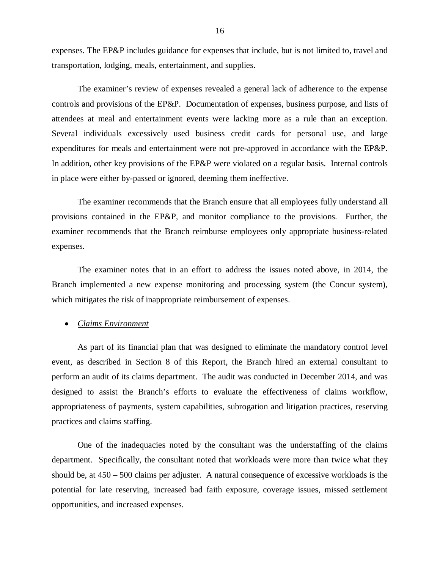expenses. The EP&P includes guidance for expenses that include, but is not limited to, travel and transportation, lodging, meals, entertainment, and supplies.

 The examiner's review of expenses revealed a general lack of adherence to the expense controls and provisions of the EP&P. Documentation of expenses, business purpose, and lists of attendees at meal and entertainment events were lacking more as a rule than an exception. Several individuals excessively used business credit cards for personal use, and large expenditures for meals and entertainment were not pre-approved in accordance with the EP&P. In addition, other key provisions of the EP&P were violated on a regular basis. Internal controls in place were either by-passed or ignored, deeming them ineffective.

 The examiner recommends that the Branch ensure that all employees fully understand all provisions contained in the EP&P, and monitor compliance to the provisions. Further, the examiner recommends that the Branch reimburse employees only appropriate business-related expenses.

 Branch implemented a new expense monitoring and processing system (the Concur system), which mitigates the risk of inappropriate reimbursement of expenses. The examiner notes that in an effort to address the issues noted above, in 2014, the

#### *Claims Environment*

 event, as described in Section 8 of this Report, the Branch hired an external consultant to perform an audit of its claims department. The audit was conducted in December 2014, and was designed to assist the Branch's efforts to evaluate the effectiveness of claims workflow, appropriateness of payments, system capabilities, subrogation and litigation practices, reserving practices and claims staffing. As part of its financial plan that was designed to eliminate the mandatory control level

 department. Specifically, the consultant noted that workloads were more than twice what they should be, at 450 – 500 claims per adjuster. A natural consequence of excessive workloads is the potential for late reserving, increased bad faith exposure, coverage issues, missed settlement opportunities, and increased expenses. One of the inadequacies noted by the consultant was the understaffing of the claims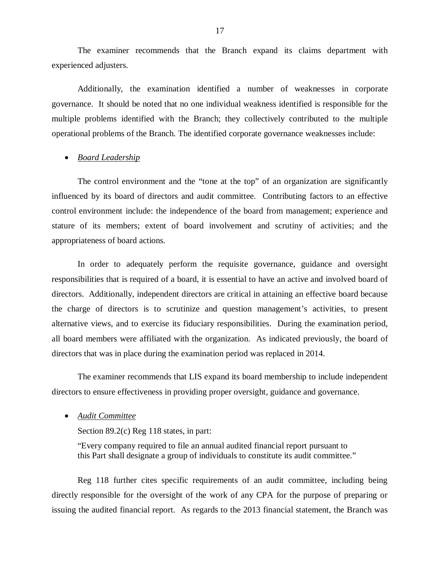experienced adjusters. experienced adjusters.<br>Additionally, the examination identified a number of weaknesses in corporate The examiner recommends that the Branch expand its claims department with

 governance. It should be noted that no one individual weakness identified is responsible for the multiple problems identified with the Branch; they collectively contributed to the multiple operational problems of the Branch. The identified corporate governance weaknesses include:

#### *Board Leadership*

 The control environment and the "tone at the top" of an organization are significantly influenced by its board of directors and audit committee. Contributing factors to an effective control environment include: the independence of the board from management; experience and stature of its members; extent of board involvement and scrutiny of activities; and the appropriateness of board actions.

 In order to adequately perform the requisite governance, guidance and oversight responsibilities that is required of a board, it is essential to have an active and involved board of directors. Additionally, independent directors are critical in attaining an effective board because the charge of directors is to scrutinize and question management's activities, to present alternative views, and to exercise its fiduciary responsibilities. During the examination period, all board members were affiliated with the organization. As indicated previously, the board of directors that was in place during the examination period was replaced in 2014.

 The examiner recommends that LIS expand its board membership to include independent directors to ensure effectiveness in providing proper oversight, guidance and governance.

 *Audit Committee* 

Section 89.2(c) Reg 118 states, in part:

 "Every company required to file an annual audited financial report pursuant to this Part shall designate a group of individuals to constitute its audit committee."

 Reg 118 further cites specific requirements of an audit committee, including being directly responsible for the oversight of the work of any CPA for the purpose of preparing or issuing the audited financial report. As regards to the 2013 financial statement, the Branch was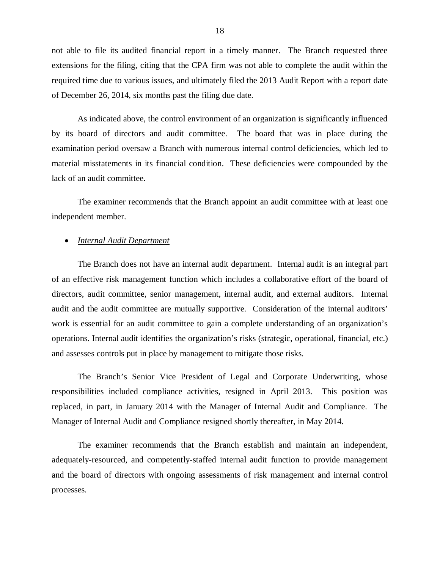not able to file its audited financial report in a timely manner. The Branch requested three extensions for the filing, citing that the CPA firm was not able to complete the audit within the required time due to various issues, and ultimately filed the 2013 Audit Report with a report date of December 26, 2014, six months past the filing due date.

 by its board of directors and audit committee. The board that was in place during the examination period oversaw a Branch with numerous internal control deficiencies, which led to material misstatements in its financial condition. These deficiencies were compounded by the lack of an audit committee. As indicated above, the control environment of an organization is significantly influenced

 independent member. The examiner recommends that the Branch appoint an audit committee with at least one

#### *Internal Audit Department*

 The Branch does not have an internal audit department. Internal audit is an integral part of an effective risk management function which includes a collaborative effort of the board of directors, audit committee, senior management, internal audit, and external auditors. Internal audit and the audit committee are mutually supportive. Consideration of the internal auditors' work is essential for an audit committee to gain a complete understanding of an organization's operations. Internal audit identifies the organization's risks (strategic, operational, financial, etc.) and assesses controls put in place by management to mitigate those risks.

 The Branch's Senior Vice President of Legal and Corporate Underwriting, whose responsibilities included compliance activities, resigned in April 2013. This position was replaced, in part, in January 2014 with the Manager of Internal Audit and Compliance. The Manager of Internal Audit and Compliance resigned shortly thereafter, in May 2014.

 The examiner recommends that the Branch establish and maintain an independent, adequately-resourced, and competently-staffed internal audit function to provide management and the board of directors with ongoing assessments of risk management and internal control processes.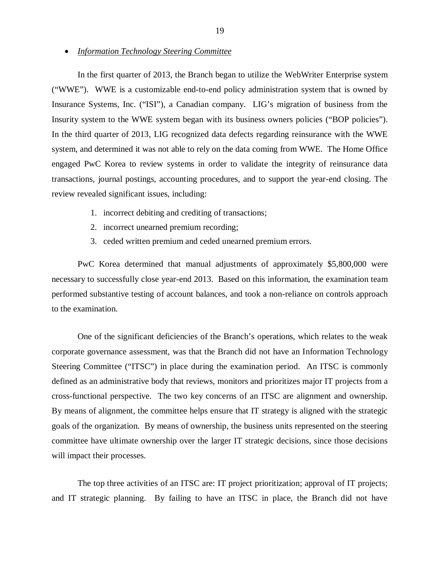*Information Technology Steering Committee* 

 In the first quarter of 2013, the Branch began to utilize the WebWriter Enterprise system ("WWE"). WWE is a customizable end-to-end policy administration system that is owned by Insurance Systems, Inc. ("ISI"), a Canadian company. LIG's migration of business from the Insurity system to the WWE system began with its business owners policies ("BOP policies"). In the third quarter of 2013, LIG recognized data defects regarding reinsurance with the WWE system, and determined it was not able to rely on the data coming from WWE. The Home Office engaged PwC Korea to review systems in order to validate the integrity of reinsurance data transactions, journal postings, accounting procedures, and to support the year-end closing. The review revealed significant issues, including:

- 1. incorrect debiting and crediting of transactions;
- 2. incorrect unearned premium recording;
- 3. ceded written premium and ceded unearned premium errors.

 PwC Korea determined that manual adjustments of approximately \$5,800,000 were necessary to successfully close year-end 2013. Based on this information, the examination team performed substantive testing of account balances, and took a non-reliance on controls approach to the examination.

to the examination.<br>One of the significant deficiencies of the Branch's operations, which relates to the weak corporate governance assessment, was that the Branch did not have an Information Technology Steering Committee ("ITSC") in place during the examination period. An ITSC is commonly defined as an administrative body that reviews, monitors and prioritizes major IT projects from a cross-functional perspective. The two key concerns of an ITSC are alignment and ownership. By means of alignment, the committee helps ensure that IT strategy is aligned with the strategic goals of the organization. By means of ownership, the business units represented on the steering committee have ultimate ownership over the larger IT strategic decisions, since those decisions will impact their processes.

 The top three activities of an ITSC are: IT project prioritization; approval of IT projects; and IT strategic planning. By failing to have an ITSC in place, the Branch did not have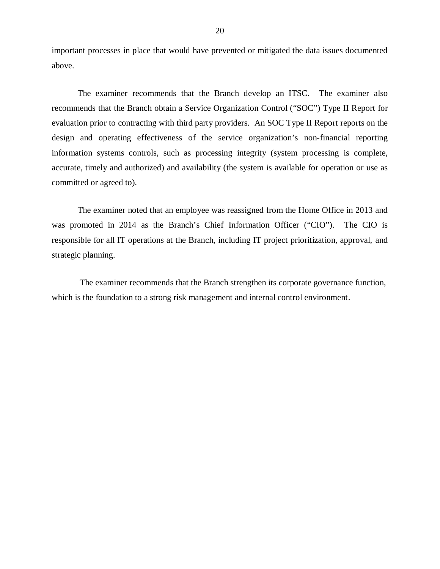important processes in place that would have prevented or mitigated the data issues documented above.

 above. The examiner recommends that the Branch develop an ITSC. The examiner also recommends that the Branch obtain a Service Organization Control ("SOC") Type II Report for evaluation prior to contracting with third party providers. An SOC Type II Report reports on the design and operating effectiveness of the service organization's non-financial reporting information systems controls, such as processing integrity (system processing is complete, accurate, timely and authorized) and availability (the system is available for operation or use as committed or agreed to).

 The examiner noted that an employee was reassigned from the Home Office in 2013 and was promoted in 2014 as the Branch's Chief Information Officer ("CIO"). The CIO is responsible for all IT operations at the Branch, including IT project prioritization, approval, and strategic planning.

 which is the foundation to a strong risk management and internal control environment. The examiner recommends that the Branch strengthen its corporate governance function,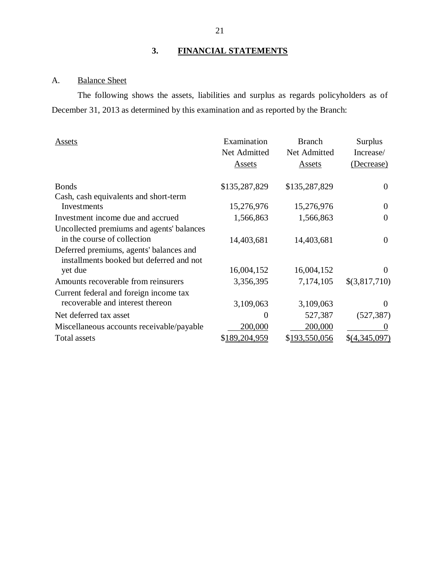## **3. FINANCIAL STATEMENTS**

#### A. **Balance Sheet**

 December 31, 2013 as determined by this examination and as reported by the Branch: The following shows the assets, liabilities and surplus as regards policyholders as of

| Assets                                                                     | Examination   | <b>Branch</b> | <b>Surplus</b>  |
|----------------------------------------------------------------------------|---------------|---------------|-----------------|
|                                                                            | Net Admitted  | Net Admitted  | Increase/       |
|                                                                            | Assets        | Assets        | (Decrease)      |
| <b>Bonds</b>                                                               | \$135,287,829 | \$135,287,829 | 0               |
| Cash, cash equivalents and short-term<br>Investments                       | 15,276,976    | 15,276,976    | 0               |
| Investment income due and accrued                                          | 1,566,863     | 1,566,863     | 0               |
| Uncollected premiums and agents' balances<br>in the course of collection   |               |               |                 |
| Deferred premiums, agents' balances and                                    | 14,403,681    | 14,403,681    | 0               |
| installments booked but deferred and not<br>yet due                        | 16,004,152    | 16,004,152    | $\Omega$        |
| Amounts recoverable from reinsurers                                        | 3,356,395     | 7,174,105     | \$(3,817,710)   |
| Current federal and foreign income tax<br>recoverable and interest thereon | 3,109,063     | 3,109,063     | $\Omega$        |
| Net deferred tax asset                                                     | $\Omega$      | 527,387       | (527, 387)      |
| Miscellaneous accounts receivable/payable                                  | 200,000       | 200,000       |                 |
| <b>Total assets</b>                                                        | \$189,204,959 | \$193,550,056 | $$$ (4,345,097) |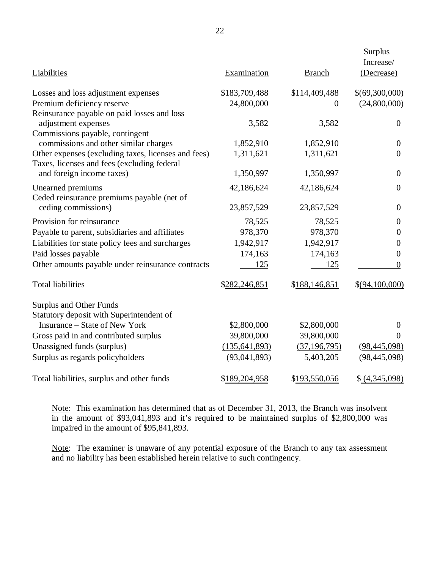| Liabilities                                         | Examination     | <b>Branch</b>  | <b>Surplus</b><br>Increase/<br>(Decrease) |
|-----------------------------------------------------|-----------------|----------------|-------------------------------------------|
| Losses and loss adjustment expenses                 | \$183,709,488   | \$114,409,488  | \$(69,300,000)                            |
| Premium deficiency reserve                          | 24,800,000      | $\theta$       | (24,800,000)                              |
| Reinsurance payable on paid losses and loss         |                 |                |                                           |
| adjustment expenses                                 | 3,582           | 3,582          | $\theta$                                  |
| Commissions payable, contingent                     |                 |                |                                           |
| commissions and other similar charges               | 1,852,910       | 1,852,910      | $\theta$                                  |
| Other expenses (excluding taxes, licenses and fees) | 1,311,621       | 1,311,621      | $\overline{0}$                            |
| Taxes, licenses and fees (excluding federal         |                 |                |                                           |
| and foreign income taxes)                           | 1,350,997       | 1,350,997      | $\theta$                                  |
| Unearned premiums                                   | 42,186,624      | 42,186,624     | $\overline{0}$                            |
| Ceded reinsurance premiums payable (net of          |                 |                |                                           |
| ceding commissions)                                 | 23,857,529      | 23,857,529     | $\overline{0}$                            |
| Provision for reinsurance                           | 78,525          | 78,525         | $\theta$                                  |
| Payable to parent, subsidiaries and affiliates      | 978,370         | 978,370        | $\theta$                                  |
| Liabilities for state policy fees and surcharges    | 1,942,917       | 1,942,917      | $\boldsymbol{0}$                          |
| Paid losses payable                                 | 174,163         | 174,163        | $\overline{0}$                            |
| Other amounts payable under reinsurance contracts   | 125             | 125            | $\overline{0}$                            |
| <b>Total liabilities</b>                            | \$282,246,851   | \$188,146,851  | \$(94,100,000)                            |
| <b>Surplus and Other Funds</b>                      |                 |                |                                           |
| Statutory deposit with Superintendent of            |                 |                |                                           |
| <b>Insurance – State of New York</b>                | \$2,800,000     | \$2,800,000    | $\overline{0}$                            |
| Gross paid in and contributed surplus               | 39,800,000      | 39,800,000     | $\overline{0}$                            |
| Unassigned funds (surplus)                          | (135, 641, 893) | (37, 196, 795) | (98, 445, 098)                            |
| Surplus as regards policyholders                    | (93,041,893)    | 5,403,205      | (98, 445, 098)                            |
| Total liabilities, surplus and other funds          | \$189,204,958   | \$193,550,056  | \$ (4,345,098)                            |

Note: This examination has determined that as of December 31, 2013, the Branch was insolvent in the amount of \$93,041,893 and it's required to be maintained surplus of \$2,800,000 was impaired in the amount of \$95,841,893.

Note: The examiner is unaware of any potential exposure of the Branch to any tax assessment and no liability has been established herein relative to such contingency.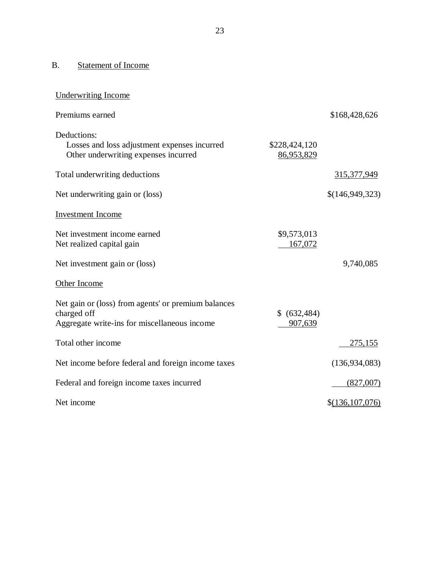#### B. Statement of Income

| <b>Underwriting Income</b>                                                                                         |                             |                   |
|--------------------------------------------------------------------------------------------------------------------|-----------------------------|-------------------|
| Premiums earned                                                                                                    |                             | \$168,428,626     |
| Deductions:<br>Losses and loss adjustment expenses incurred<br>Other underwriting expenses incurred                | \$228,424,120<br>86,953,829 |                   |
| Total underwriting deductions                                                                                      |                             | 315, 377, 949     |
| Net underwriting gain or (loss)                                                                                    |                             | \$(146,949,323)   |
| <b>Investment</b> Income                                                                                           |                             |                   |
| Net investment income earned<br>Net realized capital gain                                                          | \$9,573,013<br>167,072      |                   |
| Net investment gain or (loss)                                                                                      |                             | 9,740,085         |
| Other Income                                                                                                       |                             |                   |
| Net gain or (loss) from agents' or premium balances<br>charged off<br>Aggregate write-ins for miscellaneous income | \$ (632, 484)<br>907,639    |                   |
| Total other income                                                                                                 |                             | 275,155           |
| Net income before federal and foreign income taxes                                                                 |                             | (136, 934, 083)   |
| Federal and foreign income taxes incurred                                                                          |                             | (827,007)         |
| Net income                                                                                                         |                             | \$(136, 107, 076) |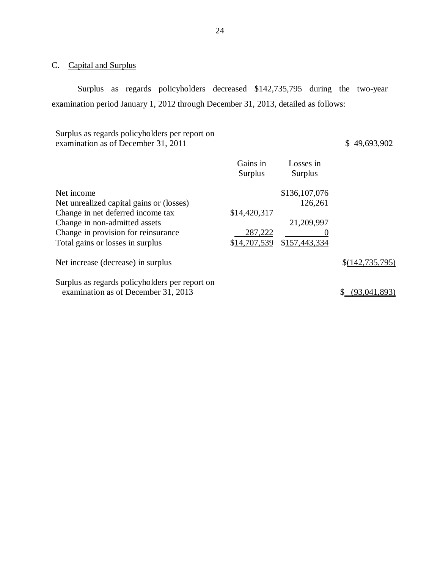#### C. Capital and Surplus

 Surplus as regards policyholders decreased \$142,735,795 during the two-year examination period January 1, 2012 through December 31, 2013, detailed as follows:

| Surplus as regards policyholders per report on<br>examination as of December 31, 2011 |                            |                             | \$49,693,902      |
|---------------------------------------------------------------------------------------|----------------------------|-----------------------------|-------------------|
|                                                                                       | Gains in<br><b>Surplus</b> | Losses in<br><b>Surplus</b> |                   |
| Net income                                                                            |                            | \$136,107,076               |                   |
| Net unrealized capital gains or (losses)                                              |                            | 126,261                     |                   |
| Change in net deferred income tax                                                     | \$14,420,317               |                             |                   |
| Change in non-admitted assets                                                         |                            | 21,209,997                  |                   |
| Change in provision for reinsurance                                                   | 287,222                    |                             |                   |
| Total gains or losses in surplus                                                      | \$14,707,539               | \$157,443,334               |                   |
| Net increase (decrease) in surplus                                                    |                            |                             | \$(142, 735, 795) |
| Surplus as regards policyholders per report on<br>examination as of December 31, 2013 |                            |                             | (93,041,893)      |
|                                                                                       |                            |                             |                   |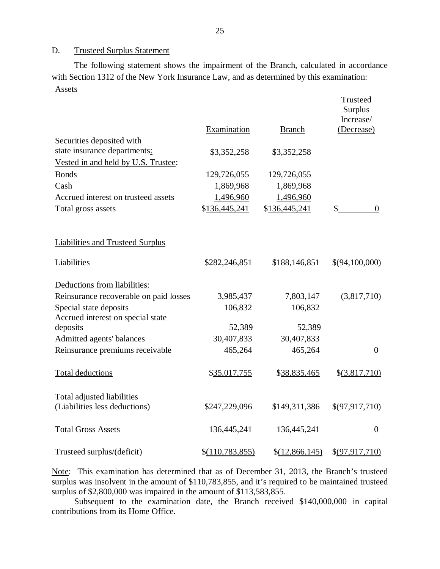#### D. **Trusteed Surplus Statement**

 with Section 1312 of the New York Insurance Law, and as determined by this examination: The following statement shows the impairment of the Branch, calculated in accordance Assets

|                                         | Examination        | <b>Branch</b>  | Trusteed<br><b>Surplus</b><br>Increase/<br>(Decrease) |
|-----------------------------------------|--------------------|----------------|-------------------------------------------------------|
| Securities deposited with               |                    |                |                                                       |
| state insurance departments:            |                    |                |                                                       |
| Vested in and held by U.S. Trustee:     | \$3,352,258        | \$3,352,258    |                                                       |
| <b>Bonds</b>                            |                    |                |                                                       |
|                                         | 129,726,055        | 129,726,055    |                                                       |
| Cash                                    | 1,869,968          | 1,869,968      |                                                       |
| Accrued interest on trusteed assets     | 1,496,960          | 1,496,960      |                                                       |
| Total gross assets                      | \$136,445,241      | \$136,445,241  | $\frac{1}{2}$<br>$\overline{0}$                       |
| <b>Liabilities and Trusteed Surplus</b> |                    |                |                                                       |
| Liabilities                             | \$282,246,851      | \$188,146,851  | \$(94,100,000)                                        |
| Deductions from liabilities:            |                    |                |                                                       |
| Reinsurance recoverable on paid losses  | 3,985,437          | 7,803,147      | (3,817,710)                                           |
| Special state deposits                  | 106,832            | 106,832        |                                                       |
| Accrued interest on special state       |                    |                |                                                       |
| deposits                                | 52,389             | 52,389         |                                                       |
| Admitted agents' balances               | 30,407,833         | 30,407,833     |                                                       |
| Reinsurance premiums receivable         | 465,264            | 465,264        | $\overline{0}$                                        |
| <b>Total deductions</b>                 | \$35,017,755       | \$38,835,465   | $$$ (3,817,710)                                       |
| Total adjusted liabilities              |                    |                |                                                       |
| (Liabilities less deductions)           | \$247,229,096      | \$149,311,386  | \$(97,917,710)                                        |
| <b>Total Gross Assets</b>               | <u>136,445,241</u> | 136,445,241    | 0                                                     |
| Trusteed surplus/(deficit)              | $$$ (110,783,855)  | \$(12,866,145) | \$(97,917,710)                                        |

Note: This examination has determined that as of December 31, 2013, the Branch's trusteed surplus was insolvent in the amount of \$110,783,855, and it's required to be maintained trusteed surplus of \$2,800,000 was impaired in the amount of \$113,583,855.

 Subsequent to the examination date, the Branch received \$140,000,000 in capital contributions from its Home Office.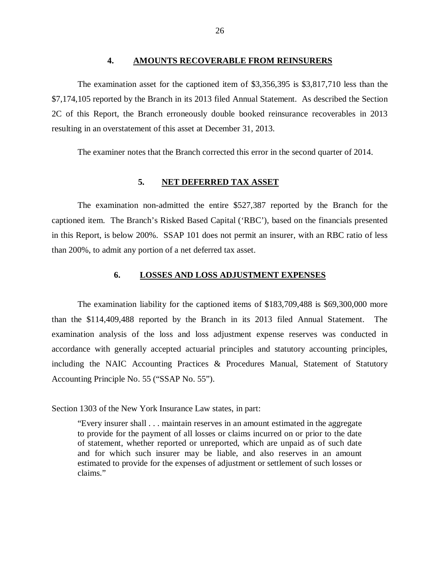#### **4. AMOUNTS RECOVERABLE FROM REINSURERS**

<span id="page-27-0"></span> \$7,174,105 reported by the Branch in its 2013 filed Annual Statement. As described the Section 2C of this Report, the Branch erroneously double booked reinsurance recoverables in 2013 resulting in an overstatement of this asset at December 31, 2013. The examination asset for the captioned item of \$3,356,395 is \$3,817,710 less than the

The examiner notes that the Branch corrected this error in the second quarter of 2014.

### **5. NET DEFERRED TAX ASSET**

 The examination non-admitted the entire \$527,387 reported by the Branch for the captioned item. The Branch's Risked Based Capital ('RBC'), based on the financials presented in this Report, is below 200%. SSAP 101 does not permit an insurer, with an RBC ratio of less than 200%, to admit any portion of a net deferred tax asset.

#### **6. LOSSES AND LOSS ADJUSTMENT EXPENSES**

 than the \$114,409,488 reported by the Branch in its 2013 filed Annual Statement. The examination analysis of the loss and loss adjustment expense reserves was conducted in accordance with generally accepted actuarial principles and statutory accounting principles, including the NAIC Accounting Practices & Procedures Manual, Statement of Statutory Accounting Principle No. 55 ("SSAP No. 55"). The examination liability for the captioned items of \$183,709,488 is \$69,300,000 more

Section 1303 of the New York Insurance Law states, in part:

 "Every insurer shall . . . maintain reserves in an amount estimated in the aggregate to provide for the payment of all losses or claims incurred on or prior to the date of statement, whether reported or unreported, which are unpaid as of such date and for which such insurer may be liable, and also reserves in an amount estimated to provide for the expenses of adjustment or settlement of such losses or claims."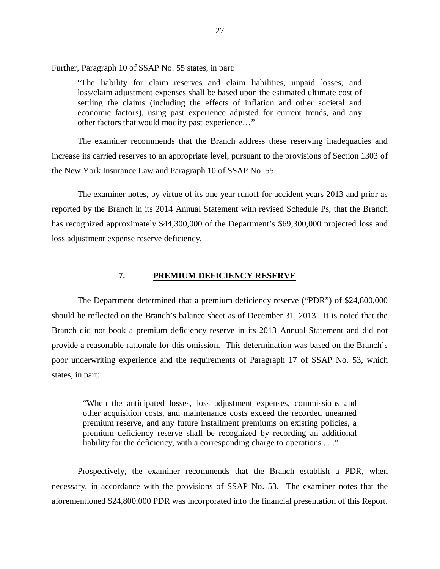<span id="page-28-0"></span>Further, Paragraph 10 of SSAP No. 55 states, in part:

 "The liability for claim reserves and claim liabilities, unpaid losses, and loss/claim adjustment expenses shall be based upon the estimated ultimate cost of settling the claims (including the effects of inflation and other societal and economic factors), using past experience adjusted for current trends, and any other factors that would modify past experience…"

 The examiner recommends that the Branch address these reserving inadequacies and increase its carried reserves to an appropriate level, pursuant to the provisions of Section 1303 of the New York Insurance Law and Paragraph 10 of SSAP No. 55.

 The examiner notes, by virtue of its one year runoff for accident years 2013 and prior as reported by the Branch in its 2014 Annual Statement with revised Schedule Ps, that the Branch has recognized approximately \$44,300,000 of the Department's \$69,300,000 projected loss and loss adjustment expense reserve deficiency.

#### **7. PREMIUM DEFICIENCY RESERVE**

 The Department determined that a premium deficiency reserve ("PDR") of \$24,800,000 should be reflected on the Branch's balance sheet as of December 31, 2013. It is noted that the Branch did not book a premium deficiency reserve in its 2013 Annual Statement and did not provide a reasonable rationale for this omission. This determination was based on the Branch's poor underwriting experience and the requirements of Paragraph 17 of SSAP No. 53, which states, in part:

 "When the anticipated losses, loss adjustment expenses, commissions and other acquisition costs, and maintenance costs exceed the recorded unearned premium reserve, and any future installment premiums on existing policies, a premium deficiency reserve shall be recognized by recording an additional liability for the deficiency, with a corresponding charge to operations . . ."

 Prospectively, the examiner recommends that the Branch establish a PDR, when necessary, in accordance with the provisions of SSAP No. 53. The examiner notes that the aforementioned \$24,800,000 PDR was incorporated into the financial presentation of this Report.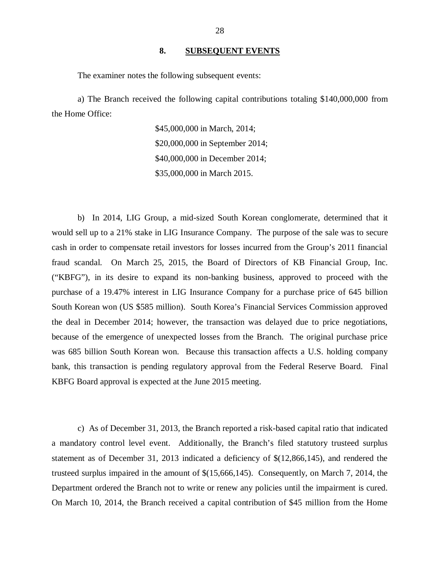#### **8. SUBSEQUENT EVENTS**

<span id="page-29-0"></span>The examiner notes the following subsequent events:

 a) The Branch received the following capital contributions totaling \$140,000,000 from the Home Office:

> \$20,000,000 in September 2014; \$40,000,000 in December 2014; \$35,000,000 in March 2015. \$45,000,000 in March, 2014;

 b) In 2014, LIG Group, a mid-sized South Korean conglomerate, determined that it would sell up to a 21% stake in LIG Insurance Company. The purpose of the sale was to secure cash in order to compensate retail investors for losses incurred from the Group's 2011 financial fraud scandal. On March 25, 2015, the Board of Directors of KB Financial Group, Inc. ("KBFG"), in its desire to expand its non-banking business, approved to proceed with the purchase of a 19.47% interest in LIG Insurance Company for a purchase price of 645 billion South Korean won (US \$585 million). South Korea's Financial Services Commission approved the deal in December 2014; however, the transaction was delayed due to price negotiations, because of the emergence of unexpected losses from the Branch. The original purchase price was 685 billion South Korean won. Because this transaction affects a U.S. holding company bank, this transaction is pending regulatory approval from the Federal Reserve Board. Final KBFG Board approval is expected at the June 2015 meeting.

 a mandatory control level event. Additionally, the Branch's filed statutory trusteed surplus statement as of December 31, 2013 indicated a deficiency of \$(12,866,145), and rendered the trusteed surplus impaired in the amount of \$(15,666,145). Consequently, on March 7, 2014, the Department ordered the Branch not to write or renew any policies until the impairment is cured. On March 10, 2014, the Branch received a capital contribution of \$45 million from the Home c) As of December 31, 2013, the Branch reported a risk-based capital ratio that indicated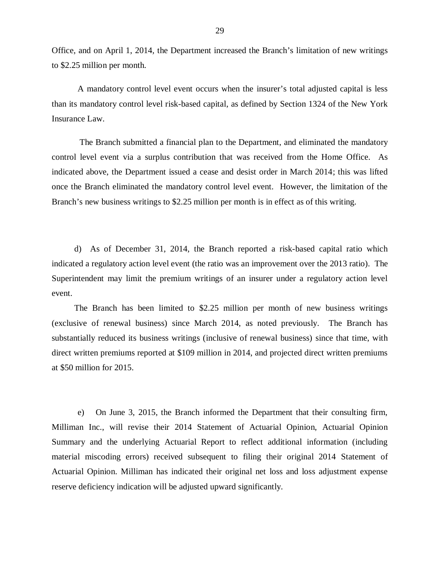Office, and on April 1, 2014, the Department increased the Branch's limitation of new writings to \$2.25 million per month.

 than its mandatory control level risk-based capital, as defined by Section 1324 of the New York Insurance Law. A mandatory control level event occurs when the insurer's total adjusted capital is less

 control level event via a surplus contribution that was received from the Home Office. As indicated above, the Department issued a cease and desist order in March 2014; this was lifted once the Branch eliminated the mandatory control level event. However, the limitation of the Branch's new business writings to \$2.25 million per month is in effect as of this writing. The Branch submitted a financial plan to the Department, and eliminated the mandatory

 indicated a regulatory action level event (the ratio was an improvement over the 2013 ratio). The Superintendent may limit the premium writings of an insurer under a regulatory action level event. d) As of December 31, 2014, the Branch reported a risk-based capital ratio which

 (exclusive of renewal business) since March 2014, as noted previously. The Branch has substantially reduced its business writings (inclusive of renewal business) since that time, with direct written premiums reported at \$109 million in 2014, and projected direct written premiums at \$50 million for 2015. The Branch has been limited to  $$2.25$  million per month of new business writings

 $e)$  Milliman Inc., will revise their 2014 Statement of Actuarial Opinion, Actuarial Opinion Summary and the underlying Actuarial Report to reflect additional information (including material miscoding errors) received subsequent to filing their original 2014 Statement of Actuarial Opinion. Milliman has indicated their original net loss and loss adjustment expense reserve deficiency indication will be adjusted upward significantly. e) On June 3, 2015, the Branch informed the Department that their consulting firm,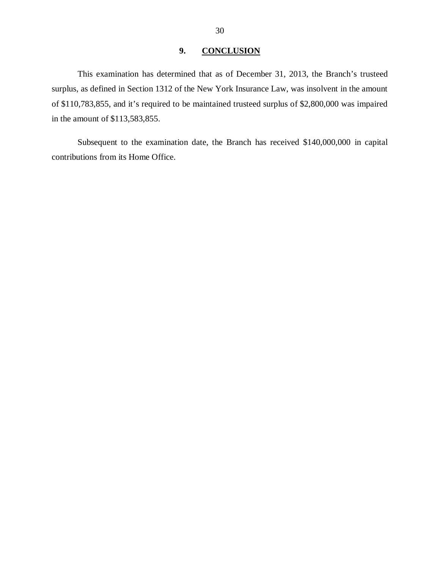## **9. CONCLUSION**

<span id="page-31-0"></span> surplus, as defined in Section 1312 of the New York Insurance Law, was insolvent in the amount of \$110,783,855, and it's required to be maintained trusteed surplus of \$2,800,000 was impaired in the amount of \$113,583,855. This examination has determined that as of December 31, 2013, the Branch's trusteed

 Subsequent to the examination date, the Branch has received \$140,000,000 in capital contributions from its Home Office.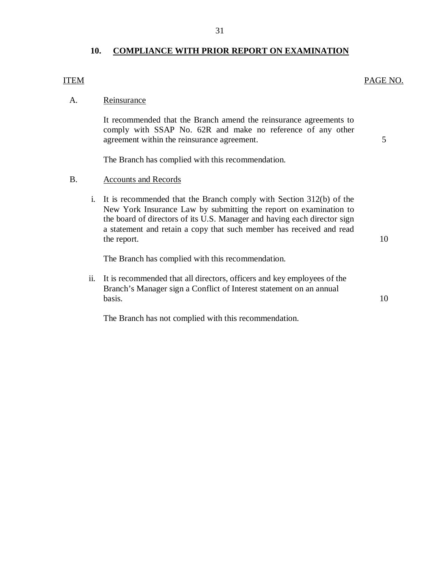### **10. COMPLIANCE WITH PRIOR REPORT ON EXAMINATION**

#### PAGE NO. ITEM PAGE NO.

#### A. Reinsurance

 It recommended that the Branch amend the reinsurance agreements to comply with SSAP No. 62R and make no reference of any other agreement within the reinsurance agreement.

5

10

10

The Branch has complied with this recommendation.

#### B. Accounts and Records

 i. It is recommended that the Branch comply with Section 312(b) of the New York Insurance Law by submitting the report on examination to the board of directors of its U.S. Manager and having each director sign a statement and retain a copy that such member has received and read the report.

The Branch has complied with this recommendation.

 ii. It is recommended that all directors, officers and key employees of the Branch's Manager sign a Conflict of Interest statement on an annual basis.

The Branch has not complied with this recommendation.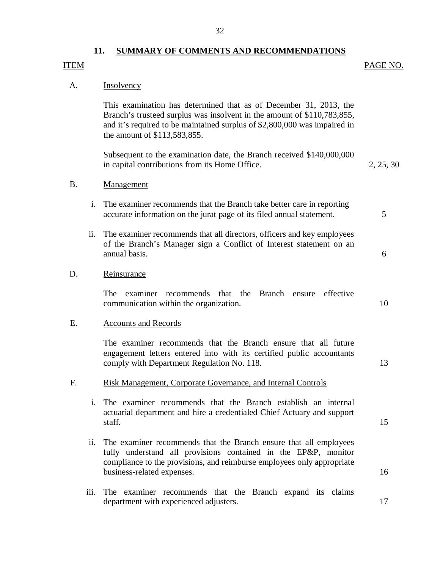## **11. SUMMARY OF COMMENTS AND RECOMMENDATIONS**

#### PAGE NO. ITEM PAGE NO.

#### A. **Insolvency**

 This examination has determined that as of December 31, 2013, the Branch's trusteed surplus was insolvent in the amount of \$110,783,855, and it's required to be maintained surplus of \$2,800,000 was impaired in the amount of \$113,583,855.

 Subsequent to the examination date, the Branch received \$140,000,000 in capital contributions from its Home Office. 2, 25, 30

#### B. Management

- i. The examiner recommends that the Branch take better care in reporting accurate information on the jurat page of its filed annual statement. 5
- of the Branch's Manager sign a Conflict of Interest statement on an annual basis. 6 ii. The examiner recommends that all directors, officers and key employees

#### Reinsurance

D. Reinsurance<br>
The examiner recommends that the Branch ensure effective communication within the organization.

#### E. Accounts and Records

 The examiner recommends that the Branch ensure that all future engagement letters entered into with its certified public accountants comply with Department Regulation No. 118. 13

17

10

#### F. Risk Management, Corporate Governance, and Internal Controls

- i. The examiner recommends that the Branch establish an internal actuarial department and hire a credentialed Chief Actuary and support staff. 15
- ii. The examiner recommends that the Branch ensure that all employees fully understand all provisions contained in the EP&P, monitor compliance to the provisions, and reimburse employees only appropriate business-related expenses. 16
- iii. The examiner recommends that the Branch expand its claims department with experienced adjusters.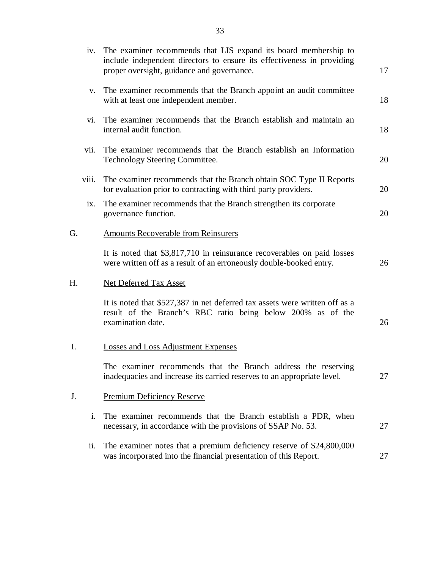|    | iv.   | The examiner recommends that LIS expand its board membership to<br>include independent directors to ensure its effectiveness in providing<br>proper oversight, guidance and governance. | 17 |
|----|-------|-----------------------------------------------------------------------------------------------------------------------------------------------------------------------------------------|----|
|    | V.    | The examiner recommends that the Branch appoint an audit committee<br>with at least one independent member.                                                                             | 18 |
|    | vi.   | The examiner recommends that the Branch establish and maintain an<br>internal audit function.                                                                                           | 18 |
|    | vii.  | The examiner recommends that the Branch establish an Information<br>Technology Steering Committee.                                                                                      | 20 |
|    | viii. | The examiner recommends that the Branch obtain SOC Type II Reports<br>for evaluation prior to contracting with third party providers.                                                   | 20 |
|    | ix.   | The examiner recommends that the Branch strengthen its corporate<br>governance function.                                                                                                | 20 |
| G. |       | <b>Amounts Recoverable from Reinsurers</b>                                                                                                                                              |    |
|    |       | It is noted that \$3,817,710 in reinsurance recoverables on paid losses<br>were written off as a result of an erroneously double-booked entry.                                          | 26 |
| Η. |       | <b>Net Deferred Tax Asset</b>                                                                                                                                                           |    |
|    |       | It is noted that \$527,387 in net deferred tax assets were written off as a<br>result of the Branch's RBC ratio being below 200% as of the<br>examination date.                         | 26 |
| I. |       | <b>Losses and Loss Adjustment Expenses</b>                                                                                                                                              |    |
|    |       | The examiner recommends that the Branch address the reserving<br>inadequacies and increase its carried reserves to an appropriate level.                                                | 27 |
| J. |       | <b>Premium Deficiency Reserve</b>                                                                                                                                                       |    |
|    | i.    | The examiner recommends that the Branch establish a PDR, when<br>necessary, in accordance with the provisions of SSAP No. 53.                                                           | 27 |
|    | ii.   | The examiner notes that a premium deficiency reserve of \$24,800,000<br>was incorporated into the financial presentation of this Report.                                                | 27 |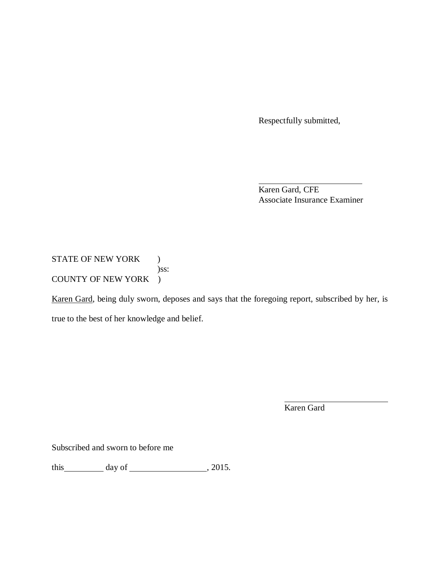Respectfully submitted,

 Associate Insurance Examiner Karen Gard, CFE

STATE OF NEW YORK ) COUNTY OF NEW YORK ) )ss:

Karen Gard, being duly sworn, deposes and says that the foregoing report, subscribed by her, is true to the best of her knowledge and belief.

Karen Gard

Subscribed and sworn to before me

this  $\_\_\_\_\_\_\$  day of  $\_\_\_\_\_\_\_\_\_\_\_$ , 2015.